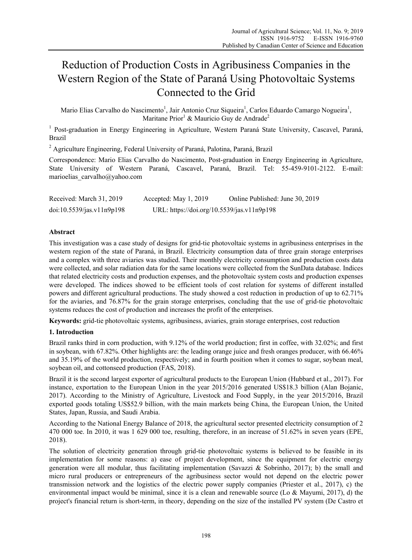# Reduction of Production Costs in Agribusiness Companies in the Western Region of the State of Paraná Using Photovoltaic Systems Connected to the Grid

Mario Elias Carvalho do Nascimento<sup>1</sup>, Jair Antonio Cruz Siqueira<sup>1</sup>, Carlos Eduardo Camargo Nogueira<sup>1</sup>, Maritane Prior<sup>1</sup> & Mauricio Guy de Andrade<sup>2</sup>

<sup>1</sup> Post-graduation in Energy Engineering in Agriculture, Western Paraná State University, Cascavel, Paraná, Brazil

<sup>2</sup> Agriculture Engineering, Federal University of Paraná, Palotina, Paraná, Brazil

Correspondence: Mario Elias Carvalho do Nascimento, Post-graduation in Energy Engineering in Agriculture, State University of Western Paraná, Cascavel, Paraná, Brazil. Tel: 55-459-9101-2122. E-mail: marioelias\_carvalho@yahoo.com

| Received: March 31, 2019  | Accepted: May $1, 2019$                    | Online Published: June 30, 2019 |
|---------------------------|--------------------------------------------|---------------------------------|
| doi:10.5539/jas.v11n9p198 | URL: https://doi.org/10.5539/jas.v11n9p198 |                                 |

# **Abstract**

This investigation was a case study of designs for grid-tie photovoltaic systems in agribusiness enterprises in the western region of the state of Paraná, in Brazil. Electricity consumption data of three grain storage enterprises and a complex with three aviaries was studied. Their monthly electricity consumption and production costs data were collected, and solar radiation data for the same locations were collected from the SunData database. Indices that related electricity costs and production expenses, and the photovoltaic system costs and production expenses were developed. The indices showed to be efficient tools of cost relation for systems of different installed powers and different agricultural productions. The study showed a cost reduction in production of up to 62.71% for the aviaries, and 76.87% for the grain storage enterprises, concluding that the use of grid-tie photovoltaic systems reduces the cost of production and increases the profit of the enterprises.

**Keywords:** grid-tie photovoltaic systems, agribusiness, aviaries, grain storage enterprises, cost reduction

# **1. Introduction**

Brazil ranks third in corn production, with 9.12% of the world production; first in coffee, with 32.02%; and first in soybean, with 67.82%. Other highlights are: the leading orange juice and fresh oranges producer, with 66.46% and 35.19% of the world production, respectively; and in fourth position when it comes to sugar, soybean meal, soybean oil, and cottonseed production (FAS, 2018).

Brazil it is the second largest exporter of agricultural products to the European Union (Hubbard et al., 2017). For instance, exportation to the European Union in the year 2015/2016 generated US\$18.3 billion (Alan Bojanic, 2017). According to the Ministry of Agriculture, Livestock and Food Supply, in the year 2015/2016, Brazil exported goods totaling US\$52.9 billion, with the main markets being China, the European Union, the United States, Japan, Russia, and Saudi Arabia.

According to the National Energy Balance of 2018, the agricultural sector presented electricity consumption of 2 470 000 toe. In 2010, it was 1 629 000 toe, resulting, therefore, in an increase of 51.62% in seven years (EPE, 2018).

The solution of electricity generation through grid-tie photovoltaic systems is believed to be feasible in its implementation for some reasons: a) ease of project development, since the equipment for electric energy generation were all modular, thus facilitating implementation (Savazzi & Sobrinho, 2017); b) the small and micro rural producers or entrepreneurs of the agribusiness sector would not depend on the electric power transmission network and the logistics of the electric power supply companies (Priester et al., 2017), c) the environmental impact would be minimal, since it is a clean and renewable source (Lo  $&$  Mayumi, 2017), d) the project's financial return is short-term, in theory, depending on the size of the installed PV system (De Castro et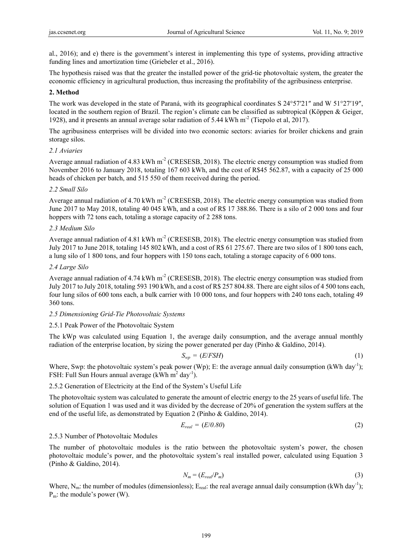al., 2016); and e) there is the government's interest in implementing this type of systems, providing attractive funding lines and amortization time (Griebeler et al., 2016).

The hypothesis raised was that the greater the installed power of the grid-tie photovoltaic system, the greater the economic efficiency in agricultural production, thus increasing the profitability of the agribusiness enterprise.

## **2. Method**

The work was developed in the state of Paraná, with its geographical coordinates S 24°57′21″ and W 51°27′19″, located in the southern region of Brazil. The region's climate can be classified as subtropical (Köppen & Geiger, 1928), and it presents an annual average solar radiation of 5.44 kWh  $m^2$  (Tiepolo et al, 2017).

The agribusiness enterprises will be divided into two economic sectors: aviaries for broiler chickens and grain storage silos.

#### *2.1 Aviaries*

Average annual radiation of 4.83 kWh  $m<sup>2</sup>$  (CRESESB, 2018). The electric energy consumption was studied from November 2016 to January 2018, totaling 167 603 kWh, and the cost of R\$45 562.87, with a capacity of 25 000 heads of chicken per batch, and 515 550 of them received during the period.

#### *2.2 Small Silo*

Average annual radiation of 4.70 kWh  $m<sup>2</sup>$  (CRESESB, 2018). The electric energy consumption was studied from June 2017 to May 2018, totaling 40 045 kWh, and a cost of R\$ 17 388.86. There is a silo of 2 000 tons and four hoppers with 72 tons each, totaling a storage capacity of 2 288 tons.

## *2.3 Medium Silo*

Average annual radiation of 4.81 kWh m<sup>-2</sup> (CRESESB, 2018). The electric energy consumption was studied from July 2017 to June 2018, totaling 145 802 kWh, and a cost of R\$ 61 275.67. There are two silos of 1 800 tons each, a lung silo of 1 800 tons, and four hoppers with 150 tons each, totaling a storage capacity of 6 000 tons.

## *2.4 Large Silo*

Average annual radiation of  $4.74 \text{ kWh} \text{ m}^2$  (CRESESB, 2018). The electric energy consumption was studied from July 2017 to July 2018, totaling 593 190 kWh, and a cost of R\$ 257 804.88. There are eight silos of 4 500 tons each, four lung silos of 600 tons each, a bulk carrier with 10 000 tons, and four hoppers with 240 tons each, totaling 49 360 tons.

## *2.5 Dimensioning Grid-Tie Photovoltaic Systems*

## 2.5.1 Peak Power of the Photovoltaic System

The kWp was calculated using Equation 1, the average daily consumption, and the average annual monthly radiation of the enterprise location, by sizing the power generated per day (Pinho & Galdino, 2014).

$$
S_{wp} = (E/FSH) \tag{1}
$$

Where, Swp: the photovoltaic system's peak power (Wp); E: the average annual daily consumption (kWh day<sup>-1</sup>); FSH: Full Sun Hours annual average  $(kWh \, m^2 \, day^{-1})$ .

2.5.2 Generation of Electricity at the End of the System's Useful Life

The photovoltaic system was calculated to generate the amount of electric energy to the 25 years of useful life. The solution of Equation 1 was used and it was divided by the decrease of 20% of generation the system suffers at the end of the useful life, as demonstrated by Equation 2 (Pinho & Galdino, 2014).

$$
E_{real} = (E/0.80) \tag{2}
$$

# 2.5.3 Number of Photovoltaic Modules

The number of photovoltaic modules is the ratio between the photovoltaic system's power, the chosen photovoltaic module's power, and the photovoltaic system's real installed power, calculated using Equation 3 (Pinho & Galdino, 2014).

$$
N_m = (E_{real}/P_m) \tag{3}
$$

Where,  $N_m$ : the number of modules (dimensionless);  $E_{real}$ : the real average annual daily consumption (kWh day<sup>-1</sup>);  $P_m$ : the module's power (W).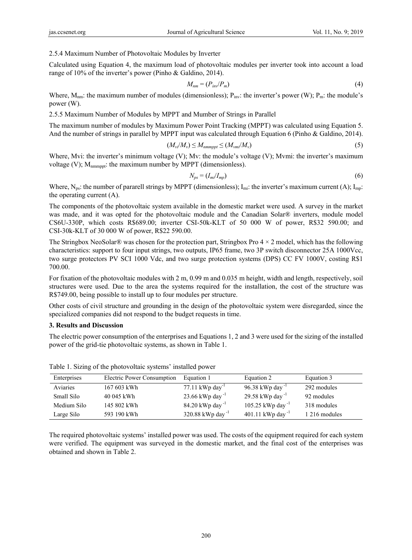## 2.5.4 Maximum Number of Photovoltaic Modules by Inverter

Calculated using Equation 4, the maximum load of photovoltaic modules per inverter took into account a load range of 10% of the inverter's power (Pinho & Galdino, 2014).

$$
M_{nm} = (P_{inv}/P_m) \tag{4}
$$

Where,  $M_{nm}$ : the maximum number of modules (dimensionless);  $P_{inv}$ : the inverter's power (W);  $P_m$ : the module's power (W).

2.5.5 Maximum Number of Modules by MPPT and Mumber of Strings in Parallel

The maximum number of modules by Maximum Power Point Tracking (MPPT) was calculated using Equation 5. And the number of strings in parallel by MPPT input was calculated through Equation 6 (Pinho & Galdino, 2014).

$$
(M_{vi}/M_{v}) \le M_{nmmppt} \le (M_{vmi}/M_{v})
$$
\n(5)

Where, Mvi: the inverter's minimum voltage (V); Mv: the module's voltage (V); Mvmi: the inverter's maximum voltage (V);  $M_{nmnppt}$ : the maximum number by MPPT (dimensionless).

$$
N_{ps} = (I_{mi}/I_{mp})
$$
\n(6)

Where,  $N_{ps}$ : the number of pararell strings by MPPT (dimensionless);  $I_{mi}$ : the inverter's maximum current (A);  $I_{mp}$ : the operating current (A).

The components of the photovoltaic system available in the domestic market were used. A survey in the market was made, and it was opted for the photovoltaic module and the Canadian Solar® inverters, module model CS6U-330P, which costs R\$689.00; inverter CSI-50k-KLT of 50 000 W of power, R\$32 590.00; and CSI-30k-KLT of 30 000 W of power, R\$22 590.00.

The Stringbox NeoSolar® was chosen for the protection part, Stringbox Pro  $4 \times 2$  model, which has the following characteristics: support to four input strings, two outputs, IP65 frame, two 3P switch disconnector 25A 1000Vcc, two surge protectors PV SCI 1000 Vdc, and two surge protection systems (DPS) CC FV 1000V, costing R\$1 700.00.

For fixation of the photovoltaic modules with 2 m, 0.99 m and 0.035 m height, width and length, respectively, soil structures were used. Due to the area the systems required for the installation, the cost of the structure was R\$749.00, being possible to install up to four modules per structure.

Other costs of civil structure and grounding in the design of the photovoltaic system were disregarded, since the specialized companies did not respond to the budget requests in time.

## **3. Results and Discussion**

The electric power consumption of the enterprises and Equations 1, 2 and 3 were used for the sizing of the installed power of the grid-tie photovoltaic systems, as shown in Table 1.

| Enterprises | Electric Power Consumption | Equation 1                    | Equation 2                   | Equation 3    |
|-------------|----------------------------|-------------------------------|------------------------------|---------------|
| Aviaries    | 167 603 kWh                | $77.11$ kWp day <sup>-1</sup> | 96.38 kWp day <sup>-1</sup>  | 292 modules   |
| Small Silo  | 40 045 kWh                 | 23.66 kWp day <sup>-1</sup>   | 29.58 kWp day <sup>-1</sup>  | 92 modules    |
| Medium Silo | 145 802 kWh                | 84.20 kWp day <sup>-1</sup>   | 105.25 kWp day <sup>-1</sup> | 318 modules   |
| Large Silo  | 593 190 kWh                | 320.88 kWp day <sup>-1</sup>  | 401.11 kWp day <sup>-1</sup> | 1 216 modules |

Table 1. Sizing of the photovoltaic systems' installed power

The required photovoltaic systems' installed power was used. The costs of the equipment required for each system were verified. The equipment was surveyed in the domestic market, and the final cost of the enterprises was obtained and shown in Table 2.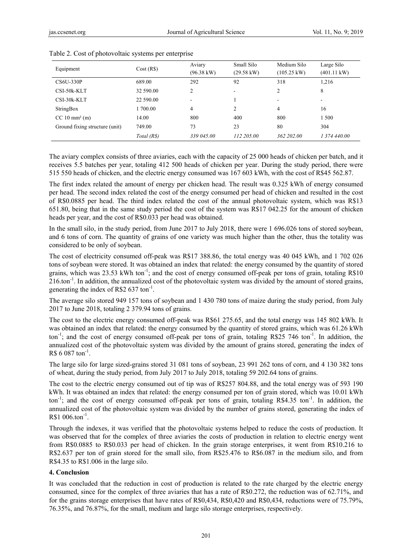| Equipment                        | Cost(R\$)   | Aviary<br>$(96.38 \text{ kW})$ | Small Silo<br>(29.58 kW) | Medium Silo<br>$(105.25 \text{ kW})$ | Large Silo<br>$(401.11 \text{ kW})$ |
|----------------------------------|-------------|--------------------------------|--------------------------|--------------------------------------|-------------------------------------|
| CS6U-330P                        | 689.00      | 292                            | 92                       | 318                                  | 1,216                               |
| CSI-50k-KLT                      | 32 590.00   | 2                              | ۰                        | 2                                    | 8                                   |
| CSI-30k-KLT                      | 22 590.00   | ۰.                             |                          | ۰.                                   | $\overline{\phantom{a}}$            |
| StringBox                        | 1 700.00    | 4                              | 2                        | 4                                    | 16                                  |
| $CC 10 \text{ mm}^2 \text{ (m)}$ | 14.00       | 800                            | 400                      | 800                                  | 1500                                |
| Ground fixing structure (unit)   | 749.00      | 73                             | 23                       | 80                                   | 304                                 |
|                                  | Total (R\$) | 339 045,00                     | 112 205.00               | 362 202.00                           | 1 374 440.00                        |

Table 2. Cost of photovoltaic systems per enterprise

The aviary complex consists of three aviaries, each with the capacity of 25 000 heads of chicken per batch, and it receives 5.5 batches per year, totaling 412 500 heads of chicken per year. During the study period, there were 515 550 heads of chicken, and the electric energy consumed was 167 603 kWh, with the cost of R\$45 562.87.

The first index related the amount of energy per chicken head. The result was 0.325 kWh of energy consumed per head. The second index related the cost of the energy consumed per head of chicken and resulted in the cost of R\$0.0885 per head. The third index related the cost of the annual photovoltaic system, which was R\$13 651.80, being that in the same study period the cost of the system was R\$17 042.25 for the amount of chicken heads per year, and the cost of R\$0.033 per head was obtained.

In the small silo, in the study period, from June 2017 to July 2018, there were 1 696.026 tons of stored soybean, and 6 tons of corn. The quantity of grains of one variety was much higher than the other, thus the totality was considered to be only of soybean.

The cost of electricity consumed off-peak was R\$17 388.86, the total energy was 40 045 kWh, and 1 702 026 tons of soybean were stored. It was obtained an index that related: the energy consumed by the quantity of stored grains, which was 23.53 kWh ton<sup>-1</sup>; and the cost of energy consumed off-peak per tons of grain, totaling R\$10  $216$ , ton<sup>-1</sup>. In addition, the annualized cost of the photovoltaic system was divided by the amount of stored grains, generating the index of R\$2  $637 \text{ ton}^{-1}$ .

The average silo stored 949 157 tons of soybean and 1 430 780 tons of maize during the study period, from July 2017 to June 2018, totaling 2 379.94 tons of grains.

The cost to the electric energy consumed off-peak was R\$61 275.65, and the total energy was 145 802 kWh. It was obtained an index that related: the energy consumed by the quantity of stored grains, which was 61.26 kWh ton<sup>-1</sup>; and the cost of energy consumed off-peak per tons of grain, totaling R\$25 746 ton<sup>-1</sup>. In addition, the annualized cost of the photovoltaic system was divided by the amount of grains stored, generating the index of R\$ 6 087 ton $^{-1}$ .

The large silo for large sized-grains stored 31 081 tons of soybean, 23 991 262 tons of corn, and 4 130 382 tons of wheat, during the study period, from July 2017 to July 2018, totaling 59 202.64 tons of grains.

The cost to the electric energy consumed out of tip was of R\$257 804.88, and the total energy was of 593 190 kWh. It was obtained an index that related: the energy consumed per ton of grain stored, which was 10.01 kWh ton<sup>-1</sup>; and the cost of energy consumed off-peak per tons of grain, totaling R\$4.35 ton<sup>-1</sup>. In addition, the annualized cost of the photovoltaic system was divided by the number of grains stored, generating the index of  $R$1 006.ton<sup>-1</sup>$ .

Through the indexes, it was verified that the photovoltaic systems helped to reduce the costs of production. It was observed that for the complex of three aviaries the costs of production in relation to electric energy went from R\$0.0885 to R\$0.033 per head of chicken. In the grain storage enterprises, it went from R\$10.216 to R\$2.637 per ton of grain stored for the small silo, from R\$25.476 to R\$6.087 in the medium silo, and from R\$4.35 to R\$1.006 in the large silo.

#### **4. Conclusion**

It was concluded that the reduction in cost of production is related to the rate charged by the electric energy consumed, since for the complex of three aviaries that has a rate of R\$0.272, the reduction was of 62.71%, and for the grains storage enterprises that have rates of R\$0,434, R\$0,420 and R\$0,434, reductions were of 75.79%, 76.35%, and 76.87%, for the small, medium and large silo storage enterprises, respectively.